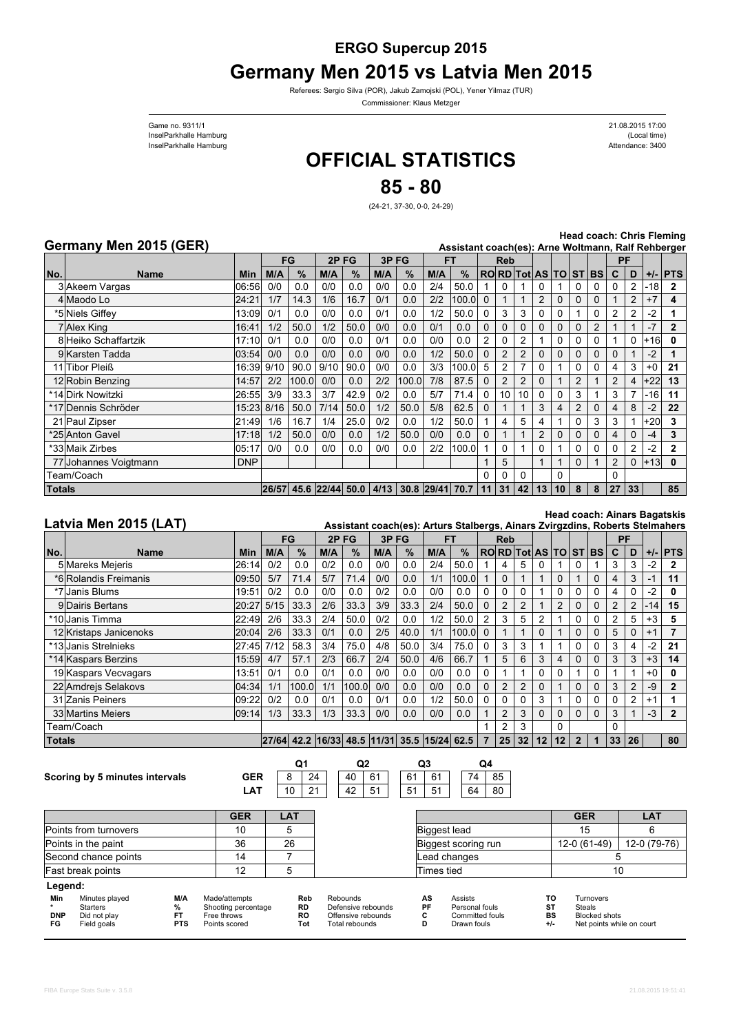## **ERGO Supercup 2015 Germany Men 2015 vs Latvia Men 2015**

Referees: Sergio Silva (POR), Jakub Zamojski (POL), Yener Yilmaz (TUR)

Commissioner: Klaus Metzger

InselParkhalle Hamburg (Local time) Game no. 9311/1 InselParkhalle Hamburg

Attendance: 3400 21.08.2015 17:00

## **OFFICIAL STATISTICS**

**85 - 80**

(24-21, 37-30, 0-0, 24-29)

## **Germany Men 2015 (GER)**

**Head coach: Chris Fleming**

|               | Germany Men 2015 (GER) |            |       |                      |      |      |      |       |                 | Assistant coach(es): Arne Woltmann, Ralf Rehberger |          |                |                      |                |    |          |          |                |          |         |              |
|---------------|------------------------|------------|-------|----------------------|------|------|------|-------|-----------------|----------------------------------------------------|----------|----------------|----------------------|----------------|----|----------|----------|----------------|----------|---------|--------------|
|               |                        |            | FG    |                      | 2PFG |      | 3PFG |       | FТ              |                                                    |          | <b>Reb</b>     |                      |                |    |          |          | PF             |          |         |              |
| No.           | <b>Name</b>            | Min        | M/A   | $\%$                 | M/A  | $\%$ | M/A  | $\%$  | M/A             | $\frac{9}{6}$                                      |          |                | RORD Tot AS TO ST BS |                |    |          |          | $\mathbf{C}$   | D        |         | $+/-$ PTS    |
|               | 3 Akeem Vargas         | 06:56      | 0/0   | 0.0                  | 0/0  | 0.0  | 0/0  | 0.0   | 2/4             | 50.0                                               |          | 0              |                      |                |    |          | 0        |                | 2        | $ -18 $ | 2            |
|               | 4 Maodo Lo             | 24:21      | 1/7   | 14.3                 | 1/6  | 16.7 | 0/1  | 0.0   | 2/2             | 100.0                                              | $\Omega$ |                |                      | 2              |    |          | 0        |                | 2        | $+7$    | 4            |
|               | *5 Niels Giffev*       | 13:09      | 0/1   | 0.0                  | 0/0  | 0.0  | 0/1  | 0.0   | 1/2             | 50.0                                               |          | 3              | 3                    |                |    |          | 0        |                |          | $-2$    |              |
|               | 7 Alex King            | 16:41      | 1/2   | 50.0                 | 1/2  | 50.0 | 0/0  | 0.0   | 0/1             | 0.0                                                | $\Omega$ | $\Omega$       |                      |                |    |          | 2        |                |          |         | $\mathbf{2}$ |
|               | 8 Heiko Schaffartzik   | 17:10      | 0/1   | 0.0                  | 0/0  | 0.0  | 0/1  | 0.0   | 0/0             | 0.0                                                | 2        | $\Omega$       |                      |                |    |          | 0        |                | $\Omega$ | $+16$   |              |
|               | 9 Karsten Tadda        | 03:54      | 0/0   | 0.0                  | 0/0  | 0.0  | 0/0  | 0.0   | 1/2             | 50.0                                               |          | 2              |                      |                |    |          | 0        |                |          | $-2$    |              |
|               | 11 Tibor Pleiß         | 16:39      | 9/10  | 90.0                 | 9/10 | 90.0 | 0/0  | 0.0   | 3/3             | 100.0                                              | 5        | $\overline{2}$ |                      |                |    |          | 0        |                | 3        | $+0$    | 21           |
|               | 12 Robin Benzing       | 14:57      | 2/2   | 100.0                | 0/0  | 0.0  | 2/2  | 100.0 | 7/8             | 87.5                                               | $\Omega$ | $\overline{2}$ |                      | $\Omega$       |    | 2        |          | $\overline{2}$ | 4        | $+22$   | 13           |
|               | *14 Dirk Nowitzki      | 26:55      | 3/9   | 33.3                 | 3/7  | 42.9 | 0/2  | 0.0   | 5/7             | 71.4                                               | $\Omega$ | 10             | 10                   | $\Omega$       | n  | 3        |          | 3              | 7        | -161    | 11           |
|               | *17 Dennis Schröder    | 15:23      | 8/16  | 50.0                 | 7/14 | 50.0 | 1/2  | 50.0  | 5/8             | 62.5                                               | $\Omega$ |                |                      | 3              | 4  | 2        | $\Omega$ | 4              | 8        | $-2$    | 22           |
|               | 21 Paul Zipser         | 21:49      | 1/6   | 16.7                 | 1/4  | 25.0 | 0/2  | 0.0   | 1/2             | 50.0                                               |          | 4              | 5                    | 4              |    |          | 3        | 3              |          | $+20$   | 3            |
|               | *25 Anton Gavel        | 17:18      | 1/2   | 50.0                 | 0/0  | 0.0  | 1/2  | 50.0  | 0/0             | 0.0                                                | $\Omega$ |                |                      | $\overline{2}$ | 0  | 0        | 0        | 4              | $\Omega$ | -4      | 3            |
|               | *33 Maik Zirbes        | 05:17      | 0/0   | 0.0                  | 0/0  | 0.0  | 0/0  | 0.0   | 2/2             | 100.0                                              |          | 0              |                      | 0              |    | 0        | 0        | 0              | 2        | $-2$    | 2            |
|               | 77 Johannes Voigtmann  | <b>DNP</b> |       |                      |      |      |      |       |                 |                                                    |          | 5              |                      |                |    | $\Omega$ |          | $\overline{2}$ | 0        | $ +13 $ | 0            |
|               | Геаm/Coach             |            |       |                      |      |      |      |       |                 |                                                    | 0        |                |                      |                | 0  |          |          | 0              |          |         |              |
| <b>Totals</b> |                        |            | 26/57 | 45.6 22/44 50.0 4/13 |      |      |      |       | 30.8 29/41 70.7 |                                                    | 11       | 31             | 42                   | 13             | 10 | 8        | 8        | 27             | 33       |         | 85           |

## **Latvia Men 2015 (LAT)**

**Head coach: Ainars Bagatskis**

| Latvia Men 2015 (LAT) |                        |            |      |       |                                             |       |      |               |     | Assistant coach(es): Arturs Stalbergs, Ainars Zvirgzdins, Roberts Stelmahers |          |                |                      |    |                 |                |          |    |    |      |              |
|-----------------------|------------------------|------------|------|-------|---------------------------------------------|-------|------|---------------|-----|------------------------------------------------------------------------------|----------|----------------|----------------------|----|-----------------|----------------|----------|----|----|------|--------------|
|                       |                        |            | FG   |       | 2PFG                                        |       | 3PFG |               | FТ  |                                                                              |          | <b>Reb</b>     |                      |    |                 |                |          | РF |    |      |              |
| No.                   | <b>Name</b>            | <b>Min</b> | M/A  | $\%$  | M/A                                         | %     | M/A  | $\frac{9}{6}$ | M/A | $\%$                                                                         |          |                | RORD Tot AS TO ST BS |    |                 |                |          | C  | D  |      | $+/-$ PTS    |
|                       | 5 Mareks Mejeris       | 26:14      | 0/2  | 0.0   | 0/2                                         | 0.0   | 0/0  | 0.0           | 2/4 | 50.0                                                                         |          | 4              | 5                    |    |                 |                |          | 3  |    | -2   |              |
|                       | *6 Rolandis Freimanis  | 09:50      | 5/7  | 71.4  | 5/7                                         | 71.4  | 0/0  | 0.0           | 1/1 | 100.0                                                                        |          | $\Omega$       |                      |    | $\Omega$        |                | 0        | 4  | 3  | -1   | 11           |
|                       | *7 Janis Blums         | 19:51      | 0/2  | 0.0   | 0/0                                         | 0.0   | 0/2  | 0.0           | 0/0 | 0.0                                                                          | 0        |                | 0                    |    |                 |                |          | 4  |    | $-2$ |              |
|                       | 9 Dairis Bertans       | 20:27      | 5/15 | 33.3  | 2/6                                         | 33.3  | 3/9  | 33.3          | 2/4 | 50.0                                                                         | $\Omega$ | $\overline{2}$ | 2                    |    | 2               | 0              | 0        | 2  | 2  | -14  | 15           |
|                       | *10lJanis Timma        | 22:49      | 2/6  | 33.3  | 2/4                                         | 50.0  | 0/2  | 0.0           | 1/2 | 50.0                                                                         | 2        | 3              | 5                    |    |                 |                |          | 2  | 5  | $+3$ | 5            |
|                       | 12 Kristaps Janicenoks | 20:04      | 2/6  | 33.3  | 0/1                                         | 0.0   | 2/5  | 40.0          | 1/1 | 100.0                                                                        | $\Omega$ |                |                      |    |                 |                |          | 5  | O  | $+1$ |              |
|                       | *13 Janis Strelnieks   | 27:45      | 7/12 | 58.3  | 3/4                                         | 75.0  | 4/8  | 50.0          | 3/4 | 75.0                                                                         | 0        | 3              | 3                    |    |                 |                |          | 3  | 4  | $-2$ | 21           |
|                       | *14 Kaspars Berzins    | 15:59      | 4/7  | 57.1  | 2/3                                         | 66.7  | 2/4  | 50.0          | 4/6 | 66.7                                                                         |          | 5              | 6                    | 3  | 4               | 0              | 0        | 3  | 3  | $+3$ | 14           |
|                       | 19 Kaspars Vecvagars   | 13:51      | 0/1  | 0.0   | 0/1                                         | 0.0   | 0/0  | 0.0           | 0/0 | 0.0                                                                          | 0        |                |                      |    |                 |                | 0        |    |    | $+0$ | O.           |
|                       | 22 Amdrejs Selakovs    | 04:34      | 1/1  | 100.0 | 1/1                                         | 100.0 | 0/0  | 0.0           | 0/0 | 0.0                                                                          | $\Omega$ | 2              | 2                    |    |                 |                |          | 3  |    | -9   | $\mathbf{2}$ |
|                       | 31 Zanis Peiners       | 09:22      | 0/2  | 0.0   | 0/1                                         | 0.0   | 0/1  | 0.0           | 1/2 | 50.0                                                                         | $\Omega$ |                |                      | 3  |                 |                |          | 0  |    | $+1$ |              |
|                       | 33 Martins Meiers      | 09:14      | 1/3  | 33.3  | 1/3                                         | 33.3  | 0/0  | 0.0           | 0/0 | 0.0                                                                          |          | $\overline{2}$ | 3                    |    | $\Omega$        | 0              | $\Omega$ | 3  |    | $-3$ | $\mathbf{2}$ |
|                       | Геаm/Coach             |            |      |       |                                             |       |      |               |     |                                                                              |          | 2              | 3                    |    | $\Omega$        |                |          | 0  |    |      |              |
| Totals                |                        |            |      |       | 27/64 42.2 16/33 48.5 11/31 35.5 15/24 62.5 |       |      |               |     |                                                                              |          | 25             | 32                   | 12 | 12 <sup>2</sup> | $\overline{2}$ |          | 33 | 26 |      | 80           |
|                       |                        |            |      |       |                                             |       |      |               |     |                                                                              |          |                |                      |    |                 |                |          |    |    |      |              |

| Scoring by 5 minutes intervals |  | <b>GER</b> |
|--------------------------------|--|------------|
|--------------------------------|--|------------|

Points from turnovers Points in the paint Second chance points Fast break points

**Legend:**

 $8 \mid 24$  $10 \ 21$ 24 | 40 61 42 51 **Q1 Q2 Q3 Q4**

**LAT**



| <b>GER</b> | <b>LAT</b> |                     | <b>GER</b>   | <b>LAT</b>   |
|------------|------------|---------------------|--------------|--------------|
| 10         |            | Biggest lead        | 15           |              |
| 36         | 26         | Biggest scoring run | 12-0 (61-49) | 12-0 (79-76) |
| 14         |            | Lead changes        |              |              |
| 12         |            | Times tied          |              | 10           |

| Min              | Minutes played<br><b>Starters</b> | M/A | Made/attempts<br>Shooting percentage | Reb<br><b>RD</b> | Rebounds<br>Defensive rebounds       | AS<br>PF | <b>Assists</b><br>Personal fouls |    | <b>Turnovers</b><br>Steals                 |
|------------------|-----------------------------------|-----|--------------------------------------|------------------|--------------------------------------|----------|----------------------------------|----|--------------------------------------------|
| <b>DNP</b><br>FG | Did not play<br>Field goals       | PTS | Free throws<br>Points scored         | RC<br>Tot        | Offensive rebounds<br>Total rebounds |          | Committed fouls<br>Drawn fouls   | BS | Blocked shots<br>Net points while on court |